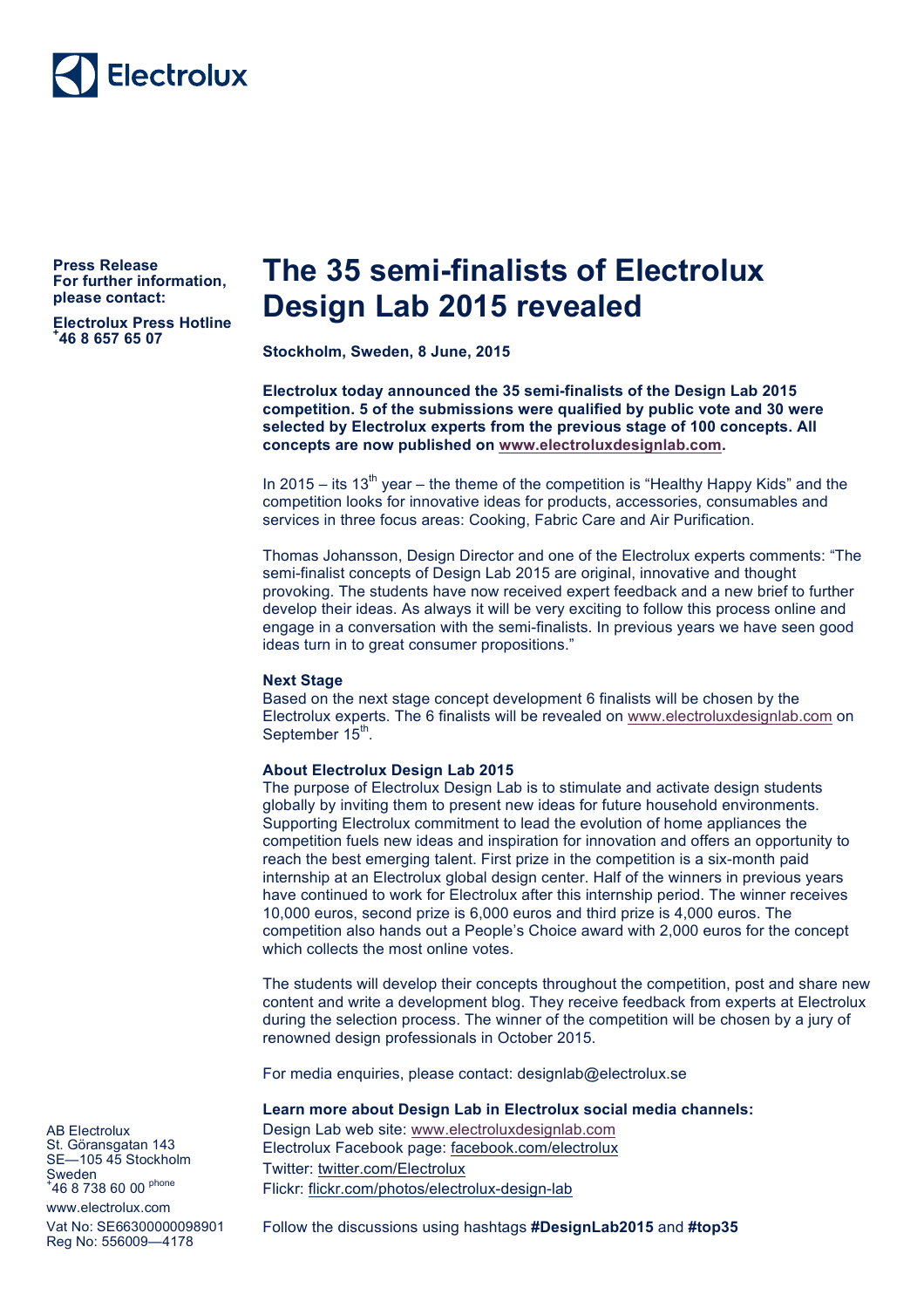

**Press Release For further information, please contact:** 

**Electrolux Press Hotline + 46 8 657 65 07**

# **The 35 semi-finalists of Electrolux Design Lab 2015 revealed**

**Stockholm, Sweden, 8 June, 2015**

**Electrolux today announced the 35 semi-finalists of the Design Lab 2015 competition. 5 of the submissions were qualified by public vote and 30 were selected by Electrolux experts from the previous stage of 100 concepts. All concepts are now published on www.electroluxdesignlab.com.** 

In 2015 – its 13<sup>th</sup> year – the theme of the competition is "Healthy Happy Kids" and the competition looks for innovative ideas for products, accessories, consumables and services in three focus areas: Cooking, Fabric Care and Air Purification.

Thomas Johansson, Design Director and one of the Electrolux experts comments: "The semi-finalist concepts of Design Lab 2015 are original, innovative and thought provoking. The students have now received expert feedback and a new brief to further develop their ideas. As always it will be very exciting to follow this process online and engage in a conversation with the semi-finalists. In previous years we have seen good ideas turn in to great consumer propositions."

#### **Next Stage**

Based on the next stage concept development 6 finalists will be chosen by the Electrolux experts. The 6 finalists will be revealed on www.electroluxdesignlab.com on September 15<sup>th</sup>.

### **About Electrolux Design Lab 2015**

The purpose of Electrolux Design Lab is to stimulate and activate design students globally by inviting them to present new ideas for future household environments. Supporting Electrolux commitment to lead the evolution of home appliances the competition fuels new ideas and inspiration for innovation and offers an opportunity to reach the best emerging talent. First prize in the competition is a six-month paid internship at an Electrolux global design center. Half of the winners in previous years have continued to work for Electrolux after this internship period. The winner receives 10,000 euros, second prize is 6,000 euros and third prize is 4,000 euros. The competition also hands out a People's Choice award with 2,000 euros for the concept which collects the most online votes.

The students will develop their concepts throughout the competition, post and share new content and write a development blog. They receive feedback from experts at Electrolux during the selection process. The winner of the competition will be chosen by a jury of renowned design professionals in October 2015.

For media enquiries, please contact: designlab@electrolux.se

#### **Learn more about Design Lab in Electrolux social media channels:**

Design Lab web site: www.electroluxdesignlab.com Electrolux Facebook page: facebook.com/electrolux Twitter: twitter.com/Electrolux Flickr: flickr.com/photos/electrolux-design-lab

<sup>+</sup>46 8 738 60 00 <sup>phone</sup> www.electrolux.com Vat No: SE66300000098901 Reg No: 556009—4178

AB Electrolux St. Göransgatan 143 SE—105 45 Stockholm

**Sweden** 

Follow the discussions using hashtags **#DesignLab2015** and **#top35**